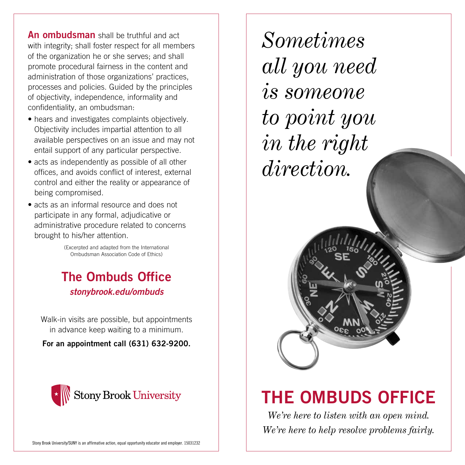An ombudsman shall be truthful and act with integrity: shall foster respect for all members of the organization he or she serves; and shall promote procedural fairness in the content and administration of those organizations' practices, processes and policies. Guided by the principles of objectivity, independence, informality and confidentiality, an ombudsman:

- hears and investigates complaints objectively. Objectivity includes impartial attention to all available perspectives on an issue and may not entail support of any particular perspective.
- acts as independently as possible of all other offices, and avoids conflict of interest, external control and either the reality or appearance of being compromised.
- acts as an informal resource and does not participate in any formal, adjudicative or administrative procedure related to concerns brought to his/her attention.

(Excerpted and adapted from the International Ombudsman Association Code of Ethics)

### The Ombuds Office *stonybrook.edu/ombuds*

Walk-in visits are possible, but appointments in advance keep waiting to a minimum.

For an appointment call (631) 632-9200.



*Sometimes all you need is someone to point you in the right direction.*



## THE OMBUDS OFFICE

*We're here to listen with an open mind. We're here to help resolve problems fairly.*